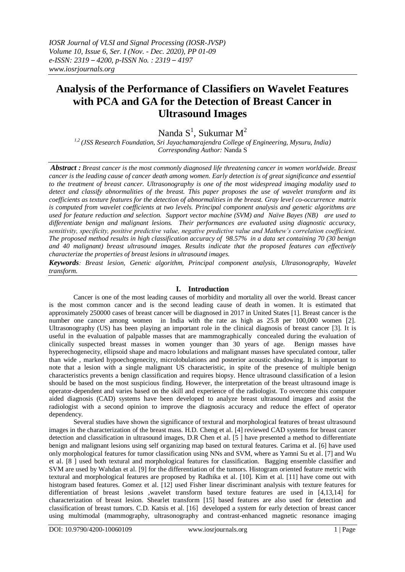# **Analysis of the Performance of Classifiers on Wavelet Features with PCA and GA for the Detection of Breast Cancer in Ultrasound Images**

Nanda  $S^1$ , Sukumar M<sup>2</sup>

*1,2 (JSS Research Foundation, Sri Jayachamarajendra College of Engineering, Mysuru, India) Corresponding Author:* Nanda S

*Abstract : Breast cancer is the most commonly diagnosed life threatening cancer in women worldwide. Breast cancer is the leading cause of cancer death among women. Early detection is of great significance and essential to the treatment of breast cancer. Ultrasonography is one of the most widespread imaging modality used to detect and classify abnormalities of the breast. This paper proposes the use of wavelet transform and its coefficients as texture features for the detection of abnormalities in the breast. Gray level co-occurrence matrix is computed from wavelet coefficients at two levels. Principal component analysis and genetic algorithms are used for feature reduction and selection. Support vector machine (SVM) and Naïve Bayes (NB) are used to differentiate benign and malignant lesions. Their performances are evaluated using diagnostic accuracy, sensitivity, specificity, positive predictive value, negative predictive value and Mathew's correlation coefficient. The proposed method results in high classification accuracy of 98.57% in a data set containing 70 (30 benign and 40 malignant) breast ultrasound images. Results indicate that the proposed features can effectively characterize the properties of breast lesions in ultrasound images.*

*Keywords: Breast lesion, Genetic algorithm, Principal component analysis, Ultrasonography, Wavelet transform.*

# **I. Introduction**

Cancer is one of the most leading causes of morbidity and mortality all over the world. Breast cancer is the most common cancer and is the second leading cause of death in women. It is estimated that approximately 250000 cases of breast cancer will be diagnosed in 2017 in United States [1]. Breast cancer is the number one cancer among women in India with the rate as high as 25.8 per 100,000 women [2]. Ultrasonography (US) has been playing an important role in the clinical diagnosis of breast cancer [3]. It is useful in the evaluation of palpable masses that are mammographically concealed during the evaluation of clinically suspected breast masses in women younger than 30 years of age. Benign masses have hyperechogenecity, ellipsoid shape and macro lobulations and malignant masses have speculated contour, taller than wide , marked hypoechogenecity, microlobulations and posterior acoustic shadowing. It is important to note that a lesion with a single malignant US characteristic, in spite of the presence of multiple benign characteristics prevents a benign classification and requires biopsy. Hence ultrasound classification of a lesion should be based on the most suspicious finding. However, the interpretation of the breast ultrasound image is operator-dependent and varies based on the skill and experience of the radiologist. To overcome this computer aided diagnosis (CAD) systems have been developed to analyze breast ultrasound images and assist the radiologist with a second opinion to improve the diagnosis accuracy and reduce the effect of operator dependency.

Several studies have shown the significance of textural and morphological features of breast ultrasound images in the characterization of the breast mass. H.D. Cheng et al. [4] reviewed CAD systems for breast cancer detection and classification in ultrasound images, D.R Chen et al. [5 ] have presented a method to differentiate benign and malignant lesions using self organizing map based on textural features. Carima et al. [6] have used only morphological features for tumor classification using NNs and SVM, where as Yamni Su et al. [7] and Wu et al. [8 ] used both textural and morphological features for classification. Bagging ensemble classifier and SVM are used by Wahdan et al. [9] for the differentiation of the tumors. Histogram oriented feature metric with textural and morphological features are proposed by Radhika et al. [10]. Kim et al. [11] have come out with histogram based features. Gomez et al. [12] used Fisher linear discriminant analysis with texture features for differentiation of breast lesions ,wavelet transform based texture features are used in [4,13,14] for characterization of breast lesion. Shearlet transform [15] based features are also used for detection and classification of breast tumors. C.D. Katsis et al. [16] developed a system for early detection of breast cancer using multimodal (mammography, ultrasonography and contrast-enhanced magnetic resonance imaging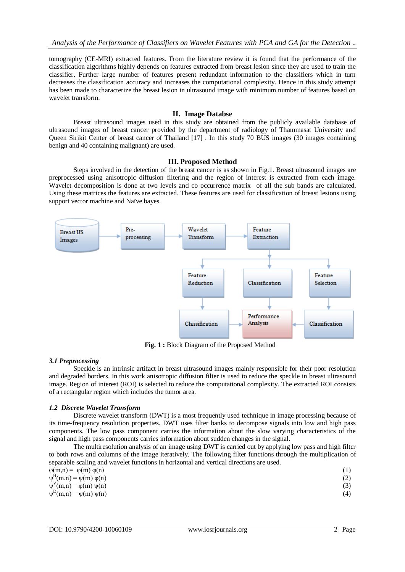tomography (CE-MRI) extracted features. From the literature review it is found that the performance of the classification algorithms highly depends on features extracted from breast lesion since they are used to train the classifier. Further large number of features present redundant information to the classifiers which in turn decreases the classification accuracy and increases the computational complexity. Hence in this study attempt has been made to characterize the breast lesion in ultrasound image with minimum number of features based on wavelet transform.

# **II. Image Databse**

Breast ultrasound images used in this study are obtained from the publicly available database of ultrasound images of breast cancer provided by the department of radiology of Thammasat University and Queen Sirikit Center of breast cancer of Thailand [17]. In this study 70 BUS images (30 images containing benign and 40 containing malignant) are used.

## **III. Proposed Method**

Steps involved in the detection of the breast cancer is as shown in Fig.1. Breast ultrasound images are preprocessed using anisotropic diffusion filtering and the region of interest is extracted from each image. Wavelet decomposition is done at two levels and co occurrence matrix of all the sub bands are calculated. Using these matrices the features are extracted. These features are used for classification of breast lesions using support vector machine and Naïve bayes.



**Fig. 1 :** Block Diagram of the Proposed Method

# *3.1 Preprocessing*

Speckle is an intrinsic artifact in breast ultrasound images mainly responsible for their poor resolution and degraded borders. In this work anisotropic diffusion filter is used to reduce the speckle in breast ultrasound image. Region of interest (ROI) is selected to reduce the computational complexity. The extracted ROI consists of a rectangular region which includes the tumor area.

# *1.2 Discrete Wavelet Transform*

Discrete wavelet transform (DWT) is a most frequently used technique in image processing because of its time-frequency resolution properties. DWT uses filter banks to decompose signals into low and high pass components. The low pass component carries the information about the slow varying characteristics of the signal and high pass components carries information about sudden changes in the signal.

The multiresolution analysis of an image using DWT is carried out by applying low pass and high filter to both rows and columns of the image iteratively. The following filter functions through the multiplication of separable scaling and wavelet functions in horizontal and vertical directions are used.

| $\varphi(m,n) = \varphi(m) \varphi(n)$   |  |
|------------------------------------------|--|
| $\psi^H(m,n) = \psi(m) \varphi(n)$       |  |
| $\psi^V(m,n) = \varphi(m) \psi(n)$       |  |
| $\psi^{\text{D}}(m,n) = \psi(m) \psi(n)$ |  |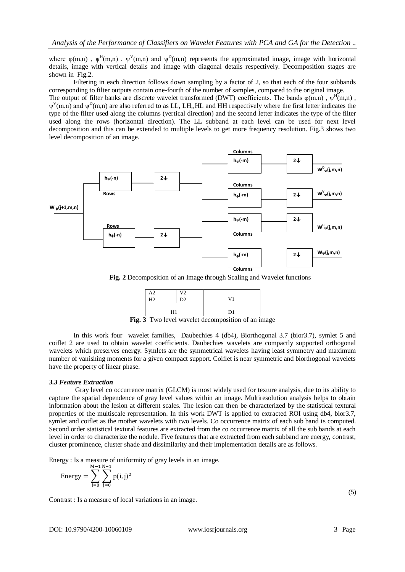where  $\varphi(m,n)$ ,  $\psi^H(m,n)$ ,  $\psi^V(m,n)$  and  $\psi^D(m,n)$  represents the approximated image, image with horizontal details, image with vertical details and image with diagonal details respectively. Decomposition stages are shown in Fig.2.

Filtering in each direction follows down sampling by a factor of 2, so that each of the four subbands corresponding to filter outputs contain one-fourth of the number of samples, compared to the original image.

The output of filter banks are discrete wavelet transformed (DWT) coefficients. The bands  $\varphi(m,n)$ ,  $\psi^H(m,n)$ ,  $\psi^V(m,n)$  and  $\psi^D(m,n)$  are also referred to as LL, LH,,HL and HH respectively where the first letter indicates the type of the filter used along the columns (vertical direction) and the second letter indicates the type of the filter used along the rows (horizontal direction). The LL subband at each level can be used for next level decomposition and this can be extended to multiple levels to get more frequency resolution. Fig.3 shows two level decomposition of an image.



**Fig. 2** Decomposition of an Image through Scaling and Wavelet functions



**Fig. 3** Two level wavelet decomposition of an image

In this work four wavelet families, Daubechies 4 (db4), Biorthogonal 3.7 (bior3.7), symlet 5 and coiflet 2 are used to obtain wavelet coefficients. Daubechies wavelets are compactly supported orthogonal wavelets which preserves energy. Symlets are the symmetrical wavelets having least symmetry and maximum number of vanishing moments for a given compact support. Coiflet is near symmetric and biorthogonal wavelets have the property of linear phase.

# *3.3 Feature Extraction*

Gray level co occurrence matrix (GLCM) is most widely used for texture analysis, due to its ability to capture the spatial dependence of gray level values within an image. Multiresolution analysis helps to obtain information about the lesion at different scales. The lesion can then be characterized by the statistical textural properties of the multiscale representation. In this work DWT is applied to extracted ROI using db4, bior3.7, symlet and coiflet as the mother wavelets with two levels. Co occurrence matrix of each sub band is computed. Second order statistical textural features are extracted from the co occurrence matrix of all the sub bands at each level in order to characterize the nodule. Five features that are extracted from each subband are energy, contrast, cluster prominence, cluster shade and dissimilarity and their implementation details are as follows.

Energy : Is a measure of uniformity of gray levels in an image.

Energy = 
$$
\sum_{i=0}^{M-1} \sum_{j=0}^{N-1} p(i,j)^2
$$

Contrast : Is a measure of local variations in an image.

(5)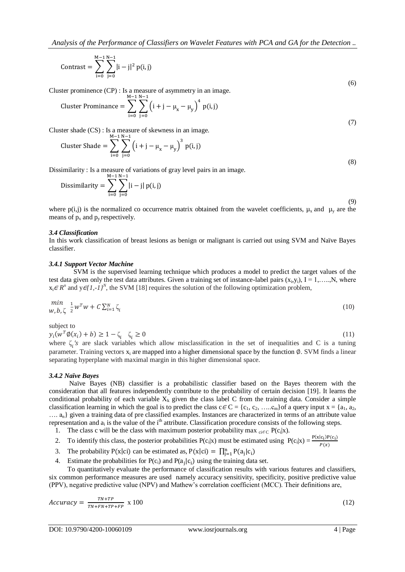Contrast = 
$$
\sum_{i=0}^{M-1} \sum_{j=0}^{N-1} |i-j|^2 p(i,j)
$$
 (6)

Cluster prominence (CP) : Is a measure of asymmetry in an image.

Cluster Prominance = 
$$
\sum_{i=0}^{M-1} \sum_{j=0}^{N-1} (i + j - \mu_x - \mu_y)^4 p(i, j)
$$

Cluster shade (CS) : Is a measure of skewness in an image.

Cluster Shade = 
$$
\sum_{i=0}^{M-1} \sum_{j=0}^{N-1} (i + j - \mu_x - \mu_y)^3 p(i, j)
$$
 (8)

Dissimilarity : Is a measure of variations of gray level pairs in an image.

Dissimilarity = 
$$
\sum_{i=0}^{M-1} \sum_{j=0}^{N-1} |i - j| p(i, j)
$$
 (9)

where  $p(i,j)$  is the normalized co occurrence matrix obtained from the wavelet coefficients,  $\mu_x$  and  $\mu_y$  are the means of  $p_x$  and  $p_y$  respectively.

## *3.4 Classification*

In this work classification of breast lesions as benign or malignant is carried out using SVM and Naïve Bayes classifier.

#### *3.4.1 Support Vector Machine*

SVM is the supervised learning technique which produces a model to predict the target values of the test data given only the test data attributes. Given a training set of instance-label pairs  $(x_i, y_i)$ ,  $I = 1, \ldots, N$ , where  $x_i \in R^n$  and  $y \in (1, -1)^N$ , the SVM [18] requires the solution of the following optimization problem,

$$
\min_{W, b, \zeta} \frac{1}{2} w^T w + C \sum_{i=1}^N \zeta_i
$$
\n(10)

subject to

 $y_i(w^T \emptyset(x_i) + b) \ge 1 - \zeta_i \quad \zeta_i$  $\geq 0$  (11) where  $\zeta_i$ 's are slack variables which allow misclassification in the set of inequalities and C is a tuning parameter. Training vectors  $x_i$  are mapped into a higher dimensional space by the function  $\emptyset$ . SVM finds a linear

## *3.4.2 Naïve Bayes*

 Naïve Bayes (NB) classifier is a probabilistic classifier based on the Bayes theorem with the consideration that all features independently contribute to the probability of certain decision [19]. It learns the conditional probability of each variable  $X_k$  given the class label C from the training data. Consider a simple classification learning in which the goal is to predict the class  $c \in C = \{c_1, c_2, \ldots, c_m\}$  of a query input  $x = \{a_1, a_2, \ldots, a_m\}$ …. an} given a training data of pre classified examples. Instances are characterized in terms of an attribute value representation and  $a_i$  is the value of the i<sup>th</sup> attribute. Classification procedure consists of the following steps.

- 1. The class c will be the class with maximum posterior probability max  $_{ci\in C}P(c_i|x)$ .
- 2. To identify this class, the posterior probabilities  $P(c_i|x)$  must be estimated using  $P(c_i|x) = \frac{P(x|c_i)P(c_i)}{P(x)}$  $\overline{P(x)}$
- 3. The probability  $P(x|ci)$  can be estimated as,  $P(x|ci) = \prod_{j=1}^{n} P(a_j|c_i)$

separating hyperplane with maximal margin in this higher dimensional space.

4. Estimate the probabilities for  $P(c_i)$  and  $P(a_i|c_i)$  using the training data set.

To quantitatively evaluate the performance of classification results with various features and classifiers, six common performance measures are used namely accuracy sensitivity, specificity, positive predictive value (PPV), negative predictive value (NPV) and Mathew's correlation coefficient (MCC). Their definitions are,

$$
Accuracy = \frac{TN + TP}{TN + FP + FP + FP} \times 100 \tag{12}
$$

(7)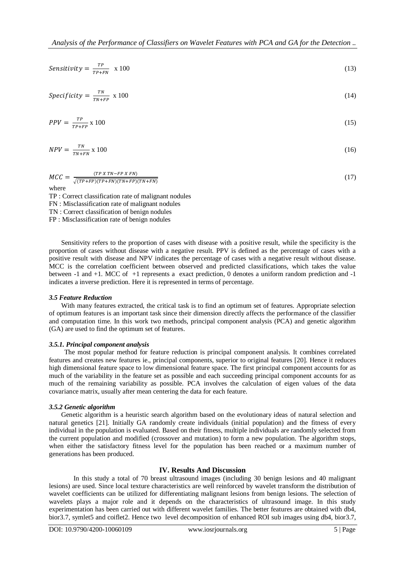$$
Sensitivity = \frac{TP}{TP+FN} \times 100 \tag{13}
$$

$$
Specificity = \frac{TN}{TN + FP} \times 100 \tag{14}
$$

$$
PPV = \frac{TP}{TP + FP} \times 100\tag{15}
$$

$$
NPV = \frac{TN}{TN + FN} \times 100\tag{16}
$$

$$
MCC = \frac{(TP \times TN - FP \times FN)}{\sqrt{(TP + FP)(TP + FN)(TN + FP)(TN + FN)}}
$$
\n(17)

TP : Correct classification rate of malignant nodules FN : Misclassification rate of malignant nodules TN : Correct classification of benign nodules FP : Misclassification rate of benign nodules

Sensitivity refers to the proportion of cases with disease with a positive result, while the specificity is the proportion of cases without disease with a negative result. PPV is defined as the percentage of cases with a positive result with disease and NPV indicates the percentage of cases with a negative result without disease. MCC is the correlation coefficient between observed and predicted classifications, which takes the value between -1 and +1. MCC of +1 represents a exact prediction, 0 denotes a uniform random prediction and -1 indicates a inverse prediction. Here it is represented in terms of percentage.

## *3.5 Feature Reduction*

With many features extracted, the critical task is to find an optimum set of features. Appropriate selection of optimum features is an important task since their dimension directly affects the performance of the classifier and computation time. In this work two methods, principal component analysis (PCA) and genetic algorithm (GA) are used to find the optimum set of features.

# *3.5.1. Principal component analysis*

The most popular method for feature reduction is principal component analysis. It combines correlated features and creates new features ie., principal components, superior to original features [20]. Hence it reduces high dimensional feature space to low dimensional feature space. The first principal component accounts for as much of the variability in the feature set as possible and each succeeding principal component accounts for as much of the remaining variability as possible. PCA involves the calculation of eigen values of the data covariance matrix, usually after mean centering the data for each feature.

## *3.5.2 Genetic algorithm*

Genetic algorithm is a heuristic search algorithm based on the evolutionary ideas of natural selection and natural genetics [21]. Initially GA randomly create individuals (initial population) and the fitness of every individual in the population is evaluated. Based on their fitness, multiple individuals are randomly selected from the current population and modified (crossover and mutation) to form a new population. The algorithm stops, when either the satisfactory fitness level for the population has been reached or a maximum number of generations has been produced.

# **IV. Results And Discussion**

In this study a total of 70 breast ultrasound images (including 30 benign lesions and 40 malignant lesions) are used. Since local texture characteristics are well reinforced by wavelet transform the distribution of wavelet coefficients can be utilized for differentiating malignant lesions from benign lesions. The selection of wavelets plays a major role and it depends on the characteristics of ultrasound image. In this study experimentation has been carried out with different wavelet families. The better features are obtained with db4, bior3.7, symlet5 and coiflet2. Hence two level decomposition of enhanced ROI sub images using db4, bior3.7,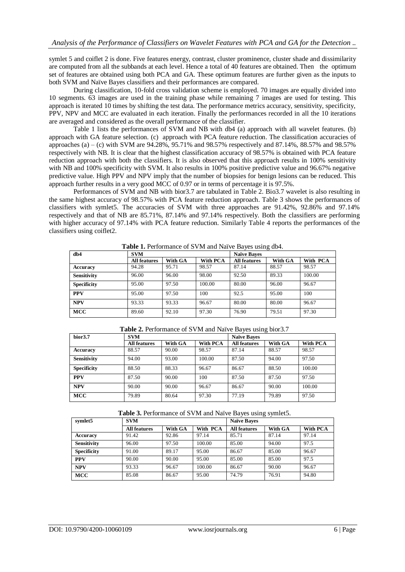symlet 5 and coiflet 2 is done. Five features energy, contrast, cluster prominence, cluster shade and dissimilarity are computed from all the subbands at each level. Hence a total of 40 features are obtained. Then the optimum set of features are obtained using both PCA and GA. These optimum features are further given as the inputs to both SVM and Naïve Bayes classifiers and their performances are compared.

During classification, 10-fold cross validation scheme is employed. 70 images are equally divided into 10 segments. 63 images are used in the training phase while remaining 7 images are used for testing. This approach is iterated 10 times by shifting the test data. The performance metrics accuracy, sensitivity, specificity, PPV, NPV and MCC are evaluated in each iteration. Finally the performances recorded in all the 10 iterations are averaged and considered as the overall performance of the classifier.

Table 1 lists the performances of SVM and NB with db4 (a) approach with all wavelet features. (b) approach with GA feature selection. (c) approach with PCA feature reduction. The classification accuracies of approaches (a) – (c) with SVM are 94.28%, 95.71% and 98.57% respectively and 87.14%, 88.57% and 98.57% respectively with NB. It is clear that the highest classification accuracy of 98.57% is obtained with PCA feature reduction approach with both the classifiers. It is also observed that this approach results in 100% sensitivity with NB and 100% specificity with SVM. It also results in 100% positive predictive value and 96.67% negative predictive value. High PPV and NPV imply that the number of biopsies for benign lesions can be reduced. This approach further results in a very good MCC of 0.97 or in terms of percentage it is 97.5%.

Performances of SVM and NB with bior3.7 are tabulated in Table 2. Bio3.7 wavelet is also resulting in the same highest accuracy of 98.57% with PCA feature reduction approach. Table 3 shows the performances of classifiers with symlet5. The accuracies of SVM with three approaches are 91.42%, 92.86% and 97.14% respectively and that of NB are 85.71%, 87.14% and 97.14% respectively. Both the classifiers are performing with higher accuracy of 97.14% with PCA feature reduction. Similarly Table 4 reports the performances of the classifiers using coiflet2.

| db4                | <b>SVM</b>          |         |          | ັ<br><b>Naïve Bayes</b> |         |          |
|--------------------|---------------------|---------|----------|-------------------------|---------|----------|
|                    | <b>All features</b> | With GA | With PCA | <b>All features</b>     | With GA | With PCA |
| Accuracy           | 94.28               | 95.71   | 98.57    | 87.14                   | 88.57   | 98.57    |
| <b>Sensitivity</b> | 96.00               | 96.00   | 98.00    | 92.50                   | 89.33   | 100.00   |
| <b>Specificity</b> | 95.00               | 97.50   | 100.00   | 80.00                   | 96.00   | 96.67    |
| <b>PPV</b>         | 95.00               | 97.50   | 100      | 92.5                    | 95.00   | 100      |
| <b>NPV</b>         | 93.33               | 93.33   | 96.67    | 80.00                   | 80.00   | 96.67    |
| <b>MCC</b>         | 89.60               | 92.10   | 97.30    | 76.90                   | 79.51   | 97.30    |

**Table 1.** Performance of SVM and Naïve Bayes using db4.

**Table 2.** Performance of SVM and Naïve Bayes using bior3.7

| bior <sub>3.7</sub> | <b>SVM</b>          |         |                 | <b>Naïve Bayes</b>  |         |          |
|---------------------|---------------------|---------|-----------------|---------------------|---------|----------|
|                     | <b>All features</b> | With GA | <b>With PCA</b> | <b>All features</b> | With GA | With PCA |
| Accuracy            | 88.57               | 90.00   | 98.57           | 87.14               | 88.57   | 98.57    |
| <b>Sensitivity</b>  | 94.00               | 93.00   | 100.00          | 87.50               | 94.00   | 97.50    |
| <b>Specificity</b>  | 88.50               | 88.33   | 96.67           | 86.67               | 88.50   | 100.00   |
| <b>PPV</b>          | 87.50               | 90.00   | 100             | 87.50               | 87.50   | 97.50    |
| <b>NPV</b>          | 90.00               | 90.00   | 96.67           | 86.67               | 90.00   | 100.00   |
| <b>MCC</b>          | 79.89               | 80.64   | 97.30           | 77.19               | 79.89   | 97.50    |

**Table 3.** Performance of SVM and Naïve Bayes using symlet5.

| symlet5            | <b>SVM</b>          |         |          | <b>Naïve Baves</b>  |         |          |
|--------------------|---------------------|---------|----------|---------------------|---------|----------|
|                    | <b>All features</b> | With GA | With PCA | <b>All features</b> | With GA | With PCA |
| Accuracy           | 91.42               | 92.86   | 97.14    | 85.71               | 87.14   | 97.14    |
| <b>Sensitivity</b> | 96.00               | 97.50   | 100.00   | 85.00               | 94.00   | 97.5     |
| <b>Specificity</b> | 91.00               | 89.17   | 95.00    | 86.67               | 85.00   | 96.67    |
| <b>PPV</b>         | 90.00               | 90.00   | 95.00    | 85.00               | 85.00   | 97.5     |
| <b>NPV</b>         | 93.33               | 96.67   | 100.00   | 86.67               | 90.00   | 96.67    |
| <b>MCC</b>         | 85.08               | 86.67   | 95.00    | 74.79               | 76.91   | 94.80    |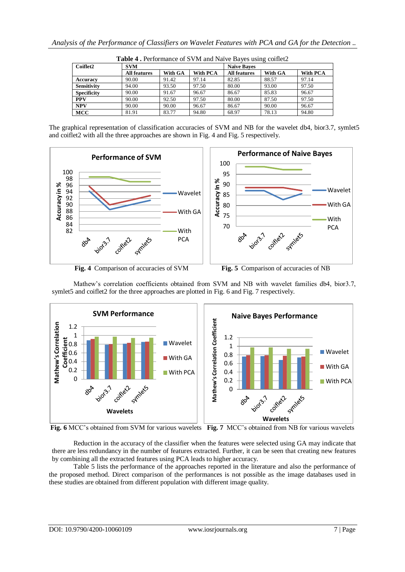| Coiflet2           | <b>SVM</b>          |         |          | <b>Naïve Baves</b>  |         |          |
|--------------------|---------------------|---------|----------|---------------------|---------|----------|
|                    | <b>All features</b> | With GA | With PCA | <b>All features</b> | With GA | With PCA |
| Accuracv           | 90.00               | 91.42   | 97.14    | 82.85               | 88.57   | 97.14    |
| <b>Sensitivity</b> | 94.00               | 93.50   | 97.50    | 80.00               | 93.00   | 97.50    |
| <b>Specificity</b> | 90.00               | 91.67   | 96.67    | 86.67               | 85.83   | 96.67    |
| <b>PPV</b>         | 90.00               | 92.50   | 97.50    | 80.00               | 87.50   | 97.50    |
| <b>NPV</b>         | 90.00               | 90.00   | 96.67    | 86.67               | 90.00   | 96.67    |
| <b>MCC</b>         | 81.91               | 83.77   | 94.80    | 68.97               | 78.13   | 94.80    |

**Table 4 .** Performance of SVM and Naïve Bayes using coiflet2

The graphical representation of classification accuracies of SVM and NB for the wavelet db4, bior3.7, symlet5 and coiflet2 with all the three approaches are shown in Fig. 4 and Fig. 5 respectively.



**Fig. 4** Comparison of accuracies of SVM **Fig. 5** Comparison of accuracies of NB

**SVM Performance Naive Bayes Performance** Mathew's Correlation Coefficient **Mathew's Correlation Coefficient Mathew's Correlation**  Mathew's Correlation 1.2 1 1.2 t<u>e</u>o.8<br>∉0.6<br>පි<sup>0.4</sup> Wavelet 1 **Wavelet** 0.6 0.8 With GA 0.4 0.6 With GA  $0.2$ With PCA 0.4 0 0.2 With PCACoineil **viola**? Symbols  $80^{6}$  $\Omega$ **Wavelets bio** 22.7 80A **Wavelets**

Mathew's correlation coefficients obtained from SVM and NB with wavelet families db4, bior3.7, symlet5 and coiflet2 for the three approaches are plotted in Fig. 6 and Fig. 7 respectively.

**Fig. 6** MCC's obtained from SVM for various wavelets **Fig. 7** MCC's obtained from NB for various wavelets

Reduction in the accuracy of the classifier when the features were selected using GA may indicate that there are less redundancy in the number of features extracted. Further, it can be seen that creating new features by combining all the extracted features using PCA leads to higher accuracy.

Table 5 lists the performance of the approaches reported in the literature and also the performance of the proposed method. Direct comparison of the performances is not possible as the image databases used in these studies are obtained from different population with different image quality.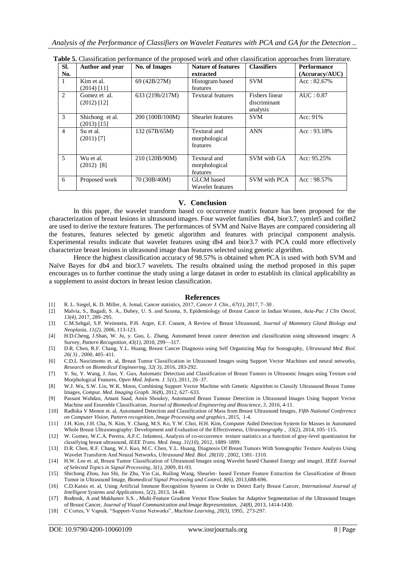| SI.            | Author and year | No. of Images   | <b>Nature of features</b> | <b>Classifiers</b> | <b>Performance</b> |
|----------------|-----------------|-----------------|---------------------------|--------------------|--------------------|
| No.            |                 |                 | extracted                 |                    | (Accuracy/AUC)     |
|                | Kim et al.      | 69 (42B/27M)    | Histogram based           | <b>SVM</b>         | Acc: 82.67%        |
|                | $(2014)$ [11]   |                 | features                  |                    |                    |
| $\mathfrak{D}$ | Gomez et al.    | 633 (219b/217M) | <b>Textural features</b>  | Fishers linear     | AUC: 0.87          |
|                | $(2012)$ [12]   |                 |                           | discriminant       |                    |
|                |                 |                 |                           | analysis           |                    |
| 3              | Shichong et al. | 200 (100B/100M) | Shearlet features         | <b>SVM</b>         | Acc: $91\%$        |
|                | $(2013)$ [15]   |                 |                           |                    |                    |
| $\overline{4}$ | Su et al.       | 132 (67B/65M)   | Textural and              | <b>ANN</b>         | Acc: 93.18%        |
|                | $(2011)$ [7]    |                 | morphological             |                    |                    |
|                |                 |                 | features                  |                    |                    |
|                |                 |                 |                           |                    |                    |
| $\overline{5}$ | Wu et al.       | 210 (120B/90M)  | Textural and              | SVM with GA        | Acc: 95.25%        |
|                | $(2012)$ [8]    |                 | morphological             |                    |                    |
|                |                 |                 | features                  |                    |                    |
| 6              | Proposed work   | 70 (30B/40M)    | <b>GLCM</b> based         | SVM with PCA       | Acc: 98.57%        |
|                |                 |                 | Wavelet features          |                    |                    |

**Table 5.** Classification performance of the proposed work and other classification approaches from literature.

# **V. Conclusion**

In this paper, the wavelet transform based co occurrence matrix feature has been proposed for the characterization of breast lesions in ultrasound images. Four wavelet families db4, bior3.7, symlet5 and coiflet2 are used to derive the texture features. The performances of SVM and Naïve Bayes are compared considering all the features, features selected by genetic algorithm and features with principal component analysis. Experimental results indicate that wavelet features using db4 and bior3.7 with PCA could more effectively characterize breast lesions in ultrasound image than features selected using genetic algorithm.

Hence the highest classification accuracy of 98.57% is obtained when PCA is used with both SVM and Naïve Bayes for db4 and bior3.7 wavelets. The results obtained using the method proposed in this paper encourages us to further continue the study using a large dataset in order to establish its clinical applicability as a supplement to assist doctors in breast lesion classification.

## **References**

- [1] R. L. Siegel, K. D. Miller, A. Jemal, Cancer statistics, 2017, *Cancer J. Clin., 67(1)*, 2017, 7–30 .
- [2] Malvia, S., Bagadi, S. A., Dubey, U. S. and Saxena, S, Epidemiology of Breast Cancer in Indian Women, *Asia-Pac J Clin Oncol, 13(4)*, 2017, 289–295.
- [3] C.M.Sehgal, S.P. Weinstein, P.H. Arger, E.F. Conant, A Review of Breast Ultrasound, *Journal of Mammary Gland Biology and Neoplasia, 11(2)*, 2006, 113-123.
- [4] H.D.Cheng, J.Shan, W. Ju, y. Guo, L. Zhang, Automated breast cancer detection and classification using ultrasound images: A Survey, *Pattern Recognition, 43(1)*, 2010, 299—317.
- [5] D.R. Chen, R.F. Chang, Y.L. Huang, Breast Cancer Diagnosis using Self Organizing Map for Sonography, *Ultrasound Med. Biol. 26( 3)* , 2000, 405–411.
- [6] C.D.L Nascimento et. al, Breast Tumor Classification in Ultrasound Images using Support Vector Machines and neural networks, *Research on Biomedical Engineering, 32( 3)*, 2016, 283-292.
- [7] Y. Su, Y. Wang, J. Jiao, Y. Guo, Automatic Detection and Classification of Breast Tumors in Ultrasonic Images using Texture a nd Morphological Features, *Open Med. Inform. J. 5(1)*, 2011, 26–37.
- [8] W.J. Wu, S.W. Lin, W.K. Moon, Combining Support Vector Machine with Genetic Algorithm to Classify Ultrasound Breast Tumor Images, *Comput. Med. Imaging Graph. 36(8)*, 2012, 627–633.
- [9] Passant Wahdan, Amani Saad, Amin Shoukry, Automated Breast Tumour Detection in Ultrasound Images Using Support Vector Machine and Ensemble Classification, *Journal of Biomedical Engineering and Bioscience, 3*, 2016, 4-11.
- [10] Radhika V Menon et. al, Automated Detection and Classification of Mass from Breast Ultrasound Images, *Fifth National Conference on Computer Vision, Pattern recognition, Image Processing and graphics*, 2015, 1-4.
- [11] J.H. Kim, J.H. Cha, N. Kim, Y. Chang, M.S. Ko, Y.W. Choi, H.H. Kim, Computer Aided Detection System for Masses in Automated Whole Breast Ultrasonography: Development and Evaluation of the Effectiveness, *Ultrasonography , 33(2)*, 2014, 105–115.
- [12] W. Gomez, W.C.A. Pereira, A.F.C. Infantosi, Analysis of co-occurrence texture statistics as a function of gray-level quantization for classifying breast ultrasound, *IEEE Trans. Med. Imag. 31(10),* 2012, 1889–1899.
- [13] D.R. Chen, R.F. Chang, W.J. Kuo, M.C. Chen, Y.L. Huang, Diagnosis Of Breast Tumors With Sonographic Texture Analysis Using Wavelet Transform And Neural Networks, *Ultrasound Med. Biol. 28(10)* , 2002, 1301–1310.
- [14] H.W. Lee et. al, Breast Tumor Classification of Ultrasound Images using Wavelet based Channel Energy and imageJ, *[IEEE Journal](http://ieeexplore.ieee.org/xpl/RecentIssue.jsp?punumber=4200690) [of Selected Topics in Signal Processing,](http://ieeexplore.ieee.org/xpl/RecentIssue.jsp?punumber=4200690) 3(1),* 2009, 81-93.
- [15] Shichong Zhou, Jun Shi, Jie Zhu, Yin Cai, Ruiling Wang, Shearlet- based Texture Feature Extraction for Classification of Breast Tumor in Ultrasound Image, *Biomedical Signal Processing and Control, 8(6)*, 2013,688-696.
- [16] C.D.Katsis et. al, Using Artificial Immune Recognition Systems in Order to Detect Early Breast Cancer, *International Journal of Intelligent Systems and Applications, 5(2)*, 2013, 34-40.
- [17] Rodtook, A and Makhanov S.S. , Multi-Feature Gradient Vector Flow Snakes for Adaptive Segmentation of the Ultrasound Images of Breast Cancer, *Journal of Visual Communication and Image Representation, 24(8)*, 2013, 1414-1430.
- [18] C Cortes, V Vapnik. "Support-Vector Networks", *Machine Learning, 20(3),* 1995, 273-297.